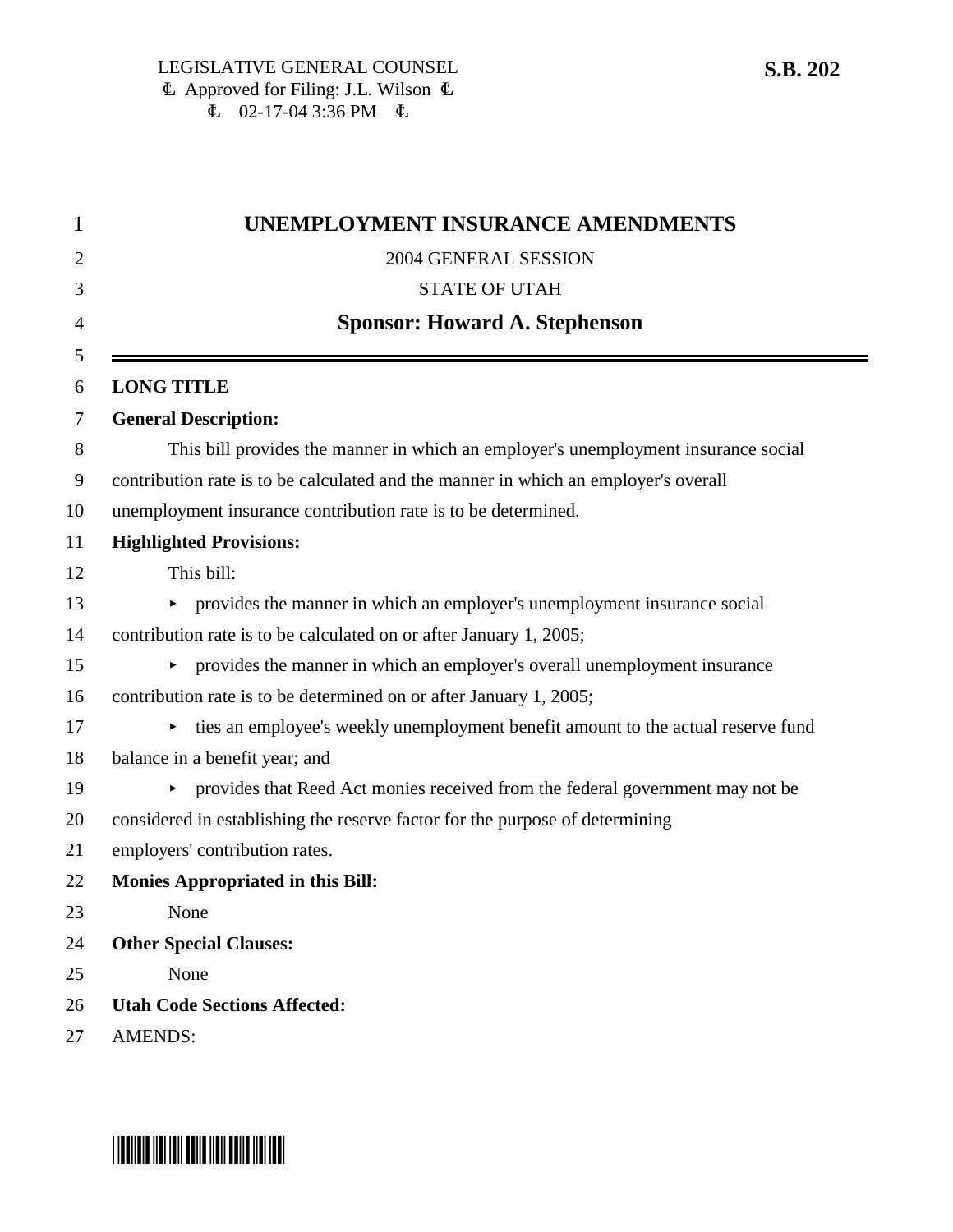| 1  | UNEMPLOYMENT INSURANCE AMENDMENTS                                                   |  |
|----|-------------------------------------------------------------------------------------|--|
| 2  | 2004 GENERAL SESSION                                                                |  |
| 3  | <b>STATE OF UTAH</b>                                                                |  |
| 4  | <b>Sponsor: Howard A. Stephenson</b>                                                |  |
| 5  |                                                                                     |  |
| 6  | <b>LONG TITLE</b>                                                                   |  |
| 7  | <b>General Description:</b>                                                         |  |
| 8  | This bill provides the manner in which an employer's unemployment insurance social  |  |
| 9  | contribution rate is to be calculated and the manner in which an employer's overall |  |
| 10 | unemployment insurance contribution rate is to be determined.                       |  |
| 11 | <b>Highlighted Provisions:</b>                                                      |  |
| 12 | This bill:                                                                          |  |
| 13 | provides the manner in which an employer's unemployment insurance social            |  |
| 14 | contribution rate is to be calculated on or after January 1, 2005;                  |  |
| 15 | provides the manner in which an employer's overall unemployment insurance<br>►      |  |
| 16 | contribution rate is to be determined on or after January 1, 2005;                  |  |
| 17 | ties an employee's weekly unemployment benefit amount to the actual reserve fund    |  |
| 18 | balance in a benefit year; and                                                      |  |
| 19 | provides that Reed Act monies received from the federal government may not be       |  |
| 20 | considered in establishing the reserve factor for the purpose of determining        |  |
| 21 | employers' contribution rates.                                                      |  |
| 22 | <b>Monies Appropriated in this Bill:</b>                                            |  |
| 23 | None                                                                                |  |
| 24 | <b>Other Special Clauses:</b>                                                       |  |
| 25 | None                                                                                |  |
| 26 | <b>Utah Code Sections Affected:</b>                                                 |  |
| 27 | <b>AMENDS:</b>                                                                      |  |

# \*SB0202\*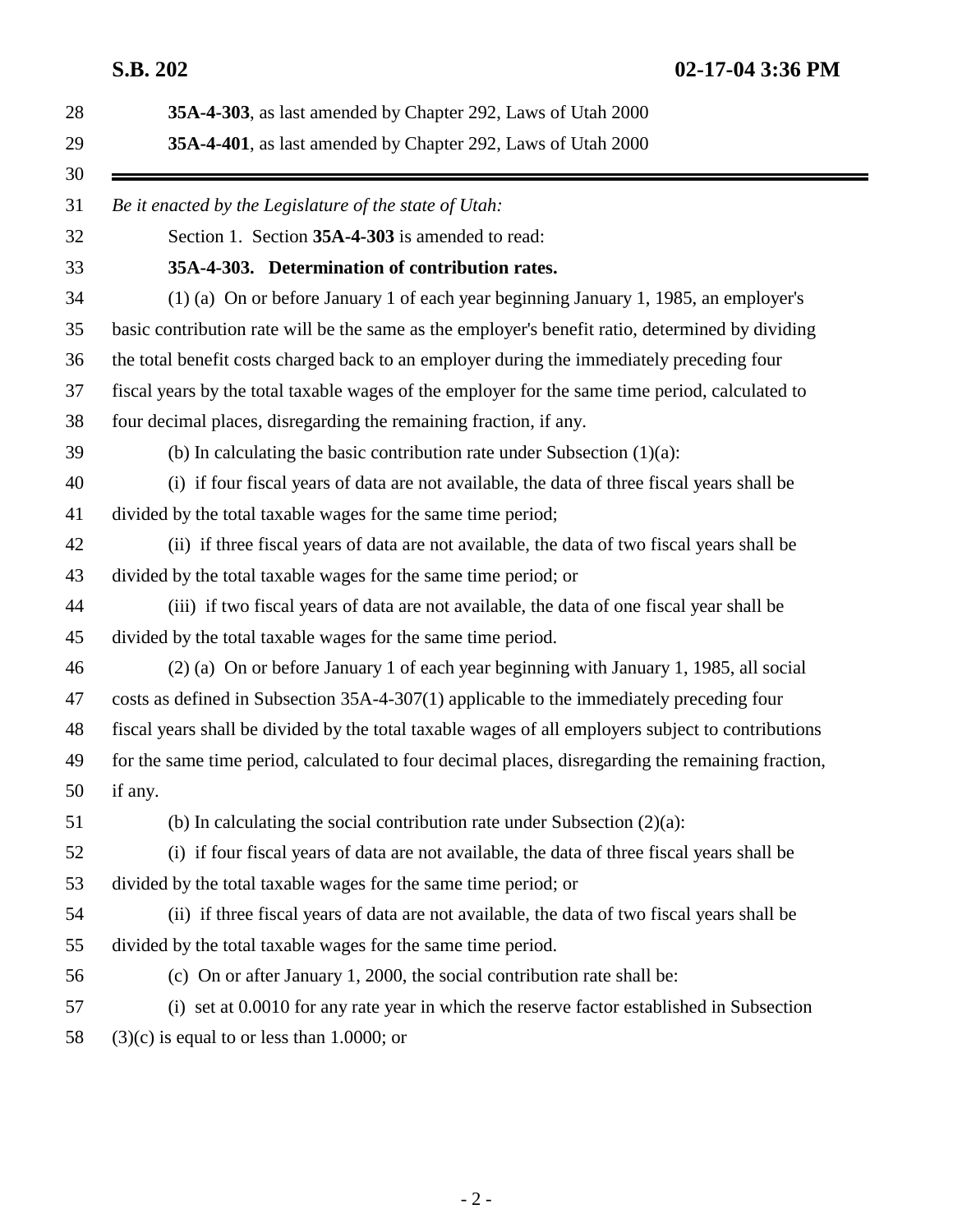**S.B. 202 02-17-04 3:36 PM**

| 35A-4-303, as last amended by Chapter 292, Laws of Utah 2000 |                                                                                                    |  |
|--------------------------------------------------------------|----------------------------------------------------------------------------------------------------|--|
|                                                              | 35A-4-401, as last amended by Chapter 292, Laws of Utah 2000                                       |  |
|                                                              | Be it enacted by the Legislature of the state of Utah:                                             |  |
|                                                              | Section 1. Section 35A-4-303 is amended to read:                                                   |  |
|                                                              | 35A-4-303. Determination of contribution rates.                                                    |  |
|                                                              | (1) (a) On or before January 1 of each year beginning January 1, 1985, an employer's               |  |
|                                                              | basic contribution rate will be the same as the employer's benefit ratio, determined by dividing   |  |
|                                                              | the total benefit costs charged back to an employer during the immediately preceding four          |  |
|                                                              | fiscal years by the total taxable wages of the employer for the same time period, calculated to    |  |
|                                                              | four decimal places, disregarding the remaining fraction, if any.                                  |  |
|                                                              | (b) In calculating the basic contribution rate under Subsection $(1)(a)$ :                         |  |
|                                                              | (i) if four fiscal years of data are not available, the data of three fiscal years shall be        |  |
|                                                              | divided by the total taxable wages for the same time period;                                       |  |
|                                                              | (ii) if three fiscal years of data are not available, the data of two fiscal years shall be        |  |
|                                                              | divided by the total taxable wages for the same time period; or                                    |  |
|                                                              | (iii) if two fiscal years of data are not available, the data of one fiscal year shall be          |  |
|                                                              | divided by the total taxable wages for the same time period.                                       |  |
|                                                              | (2) (a) On or before January 1 of each year beginning with January 1, 1985, all social             |  |
|                                                              | costs as defined in Subsection 35A-4-307(1) applicable to the immediately preceding four           |  |
|                                                              | fiscal years shall be divided by the total taxable wages of all employers subject to contributions |  |
|                                                              | for the same time period, calculated to four decimal places, disregarding the remaining fraction,  |  |
|                                                              | if any.                                                                                            |  |
|                                                              | (b) In calculating the social contribution rate under Subsection $(2)(a)$ :                        |  |
|                                                              | (i) if four fiscal years of data are not available, the data of three fiscal years shall be        |  |
|                                                              | divided by the total taxable wages for the same time period; or                                    |  |
|                                                              | (ii) if three fiscal years of data are not available, the data of two fiscal years shall be        |  |
|                                                              | divided by the total taxable wages for the same time period.                                       |  |
|                                                              | (c) On or after January 1, 2000, the social contribution rate shall be:                            |  |
|                                                              | (i) set at 0.0010 for any rate year in which the reserve factor established in Subsection          |  |
|                                                              | $(3)(c)$ is equal to or less than 1.0000; or                                                       |  |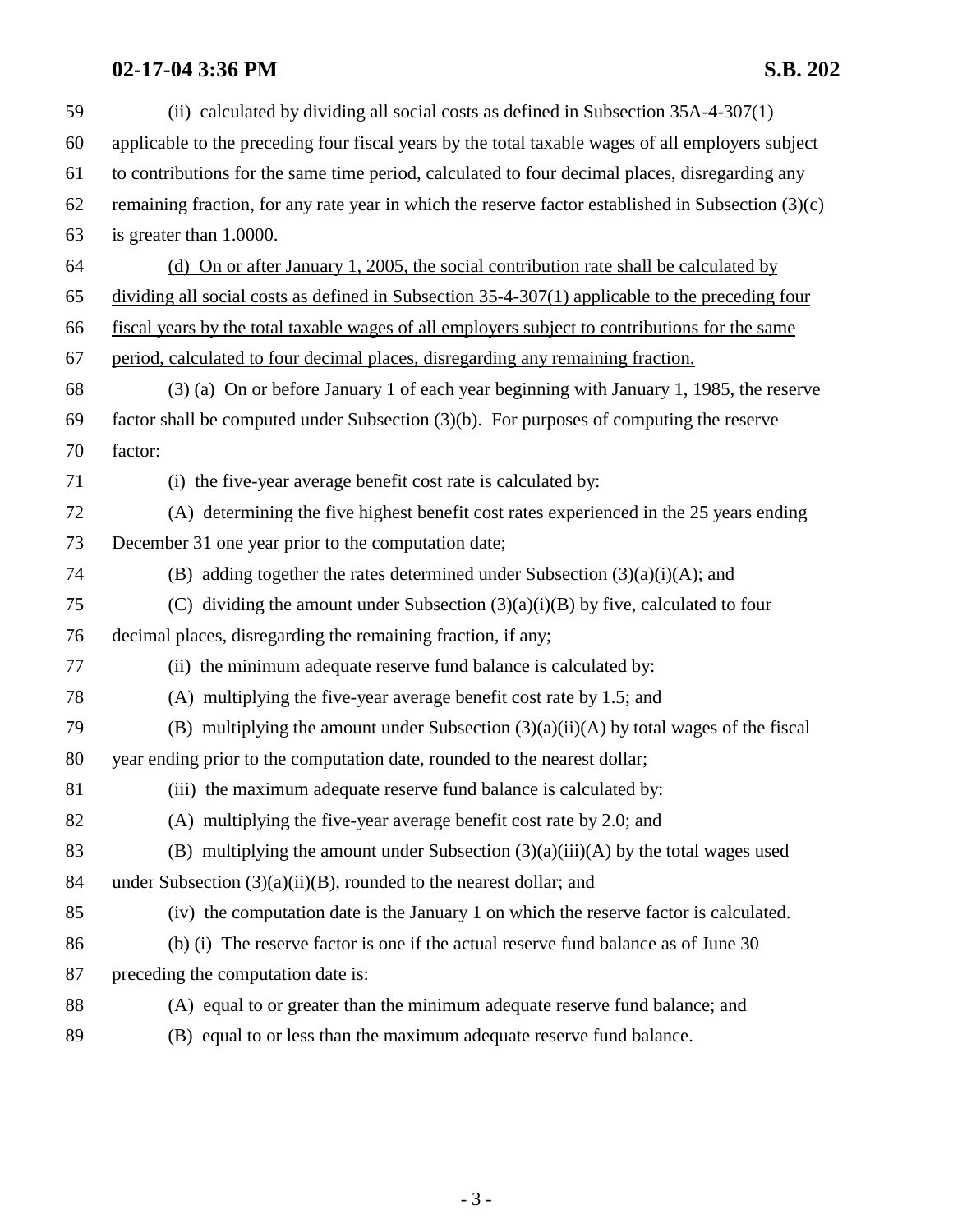| 59 | (ii) calculated by dividing all social costs as defined in Subsection $35A-4-307(1)$                 |  |  |
|----|------------------------------------------------------------------------------------------------------|--|--|
| 60 | applicable to the preceding four fiscal years by the total taxable wages of all employers subject    |  |  |
| 61 | to contributions for the same time period, calculated to four decimal places, disregarding any       |  |  |
| 62 | remaining fraction, for any rate year in which the reserve factor established in Subsection $(3)(c)$ |  |  |
| 63 | is greater than 1.0000.                                                                              |  |  |
| 64 | (d) On or after January 1, 2005, the social contribution rate shall be calculated by                 |  |  |
| 65 | dividing all social costs as defined in Subsection 35-4-307(1) applicable to the preceding four      |  |  |
| 66 | fiscal years by the total taxable wages of all employers subject to contributions for the same       |  |  |
| 67 | period, calculated to four decimal places, disregarding any remaining fraction.                      |  |  |
| 68 | (3) (a) On or before January 1 of each year beginning with January 1, 1985, the reserve              |  |  |
| 69 | factor shall be computed under Subsection $(3)(b)$ . For purposes of computing the reserve           |  |  |
| 70 | factor:                                                                                              |  |  |
| 71 | (i) the five-year average benefit cost rate is calculated by:                                        |  |  |
| 72 | (A) determining the five highest benefit cost rates experienced in the 25 years ending               |  |  |
| 73 | December 31 one year prior to the computation date;                                                  |  |  |
| 74 | (B) adding together the rates determined under Subsection $(3)(a)(i)(A)$ ; and                       |  |  |
| 75 | (C) dividing the amount under Subsection $(3)(a)(i)(B)$ by five, calculated to four                  |  |  |
| 76 | decimal places, disregarding the remaining fraction, if any;                                         |  |  |
| 77 | (ii) the minimum adequate reserve fund balance is calculated by:                                     |  |  |
| 78 | (A) multiplying the five-year average benefit cost rate by 1.5; and                                  |  |  |
| 79 | (B) multiplying the amount under Subsection $(3)(a)(ii)(A)$ by total wages of the fiscal             |  |  |
| 80 | year ending prior to the computation date, rounded to the nearest dollar;                            |  |  |
| 81 | (iii) the maximum adequate reserve fund balance is calculated by:                                    |  |  |
| 82 | (A) multiplying the five-year average benefit cost rate by 2.0; and                                  |  |  |
| 83 | (B) multiplying the amount under Subsection $(3)(a)(iii)(A)$ by the total wages used                 |  |  |
| 84 | under Subsection $(3)(a)(ii)(B)$ , rounded to the nearest dollar; and                                |  |  |
| 85 | (iv) the computation date is the January 1 on which the reserve factor is calculated.                |  |  |
| 86 | (b) (i) The reserve factor is one if the actual reserve fund balance as of June 30                   |  |  |
| 87 | preceding the computation date is:                                                                   |  |  |
| 88 | (A) equal to or greater than the minimum adequate reserve fund balance; and                          |  |  |
| 89 | (B) equal to or less than the maximum adequate reserve fund balance.                                 |  |  |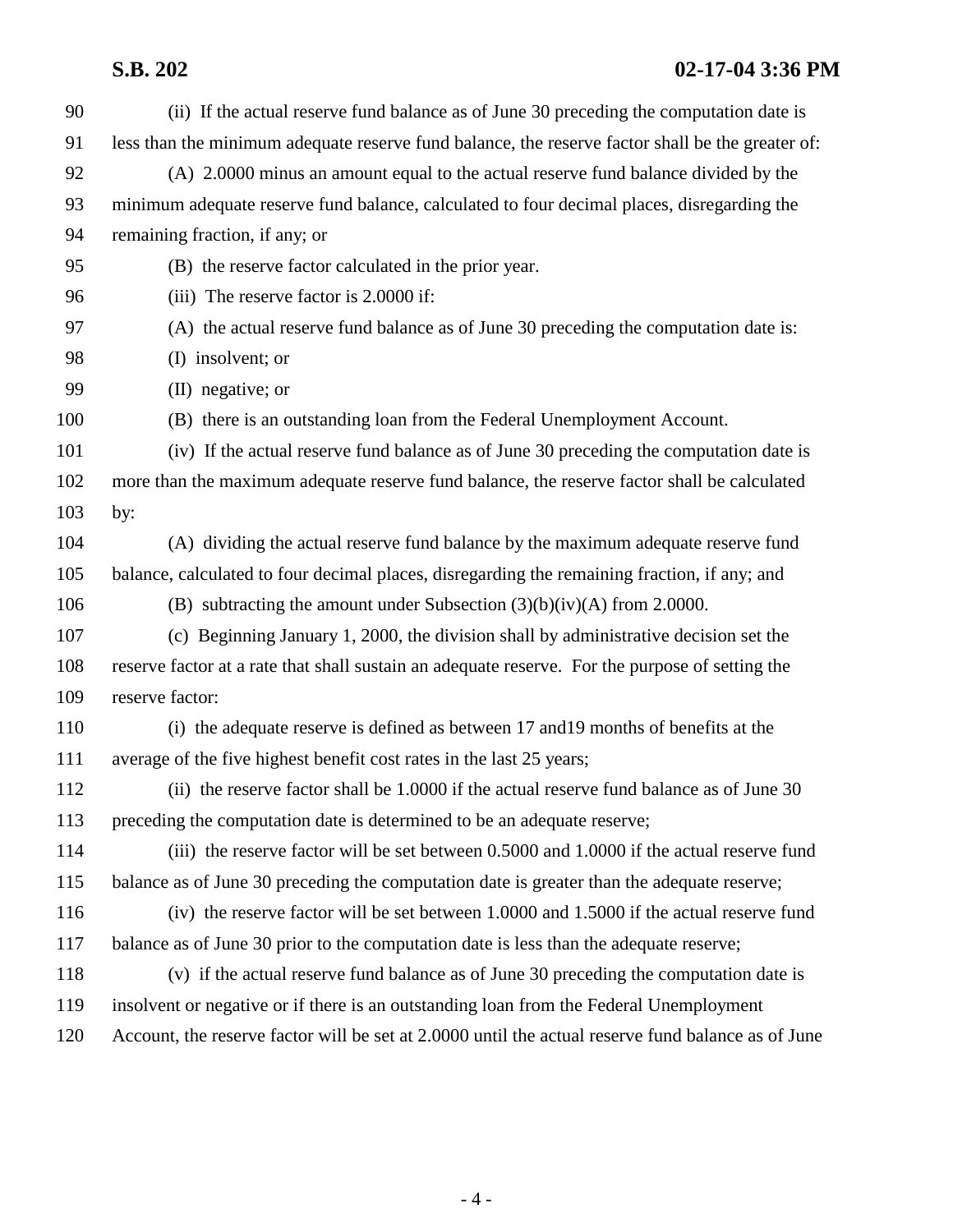# **S.B. 202 02-17-04 3:36 PM**

| 90  | (ii) If the actual reserve fund balance as of June 30 preceding the computation date is            |  |  |
|-----|----------------------------------------------------------------------------------------------------|--|--|
| 91  | less than the minimum adequate reserve fund balance, the reserve factor shall be the greater of:   |  |  |
| 92  | (A) 2.0000 minus an amount equal to the actual reserve fund balance divided by the                 |  |  |
| 93  | minimum adequate reserve fund balance, calculated to four decimal places, disregarding the         |  |  |
| 94  | remaining fraction, if any; or                                                                     |  |  |
| 95  | (B) the reserve factor calculated in the prior year.                                               |  |  |
| 96  | (iii) The reserve factor is 2.0000 if:                                                             |  |  |
| 97  | (A) the actual reserve fund balance as of June 30 preceding the computation date is:               |  |  |
| 98  | (I) insolvent; or                                                                                  |  |  |
| 99  | $(II)$ negative; or                                                                                |  |  |
| 100 | (B) there is an outstanding loan from the Federal Unemployment Account.                            |  |  |
| 101 | (iv) If the actual reserve fund balance as of June 30 preceding the computation date is            |  |  |
| 102 | more than the maximum adequate reserve fund balance, the reserve factor shall be calculated        |  |  |
| 103 | by:                                                                                                |  |  |
| 104 | (A) dividing the actual reserve fund balance by the maximum adequate reserve fund                  |  |  |
| 105 | balance, calculated to four decimal places, disregarding the remaining fraction, if any; and       |  |  |
| 106 | (B) subtracting the amount under Subsection $(3)(b)(iv)(A)$ from 2.0000.                           |  |  |
| 107 | (c) Beginning January 1, 2000, the division shall by administrative decision set the               |  |  |
| 108 | reserve factor at a rate that shall sustain an adequate reserve. For the purpose of setting the    |  |  |
| 109 | reserve factor:                                                                                    |  |  |
| 110 | (i) the adequate reserve is defined as between 17 and 19 months of benefits at the                 |  |  |
| 111 | average of the five highest benefit cost rates in the last 25 years;                               |  |  |
| 112 | (ii) the reserve factor shall be 1.0000 if the actual reserve fund balance as of June 30           |  |  |
| 113 | preceding the computation date is determined to be an adequate reserve;                            |  |  |
| 114 | (iii) the reserve factor will be set between 0.5000 and 1.0000 if the actual reserve fund          |  |  |
| 115 | balance as of June 30 preceding the computation date is greater than the adequate reserve;         |  |  |
| 116 | (iv) the reserve factor will be set between 1.0000 and 1.5000 if the actual reserve fund           |  |  |
| 117 | balance as of June 30 prior to the computation date is less than the adequate reserve;             |  |  |
| 118 | (v) if the actual reserve fund balance as of June 30 preceding the computation date is             |  |  |
| 119 | insolvent or negative or if there is an outstanding loan from the Federal Unemployment             |  |  |
| 120 | Account, the reserve factor will be set at 2.0000 until the actual reserve fund balance as of June |  |  |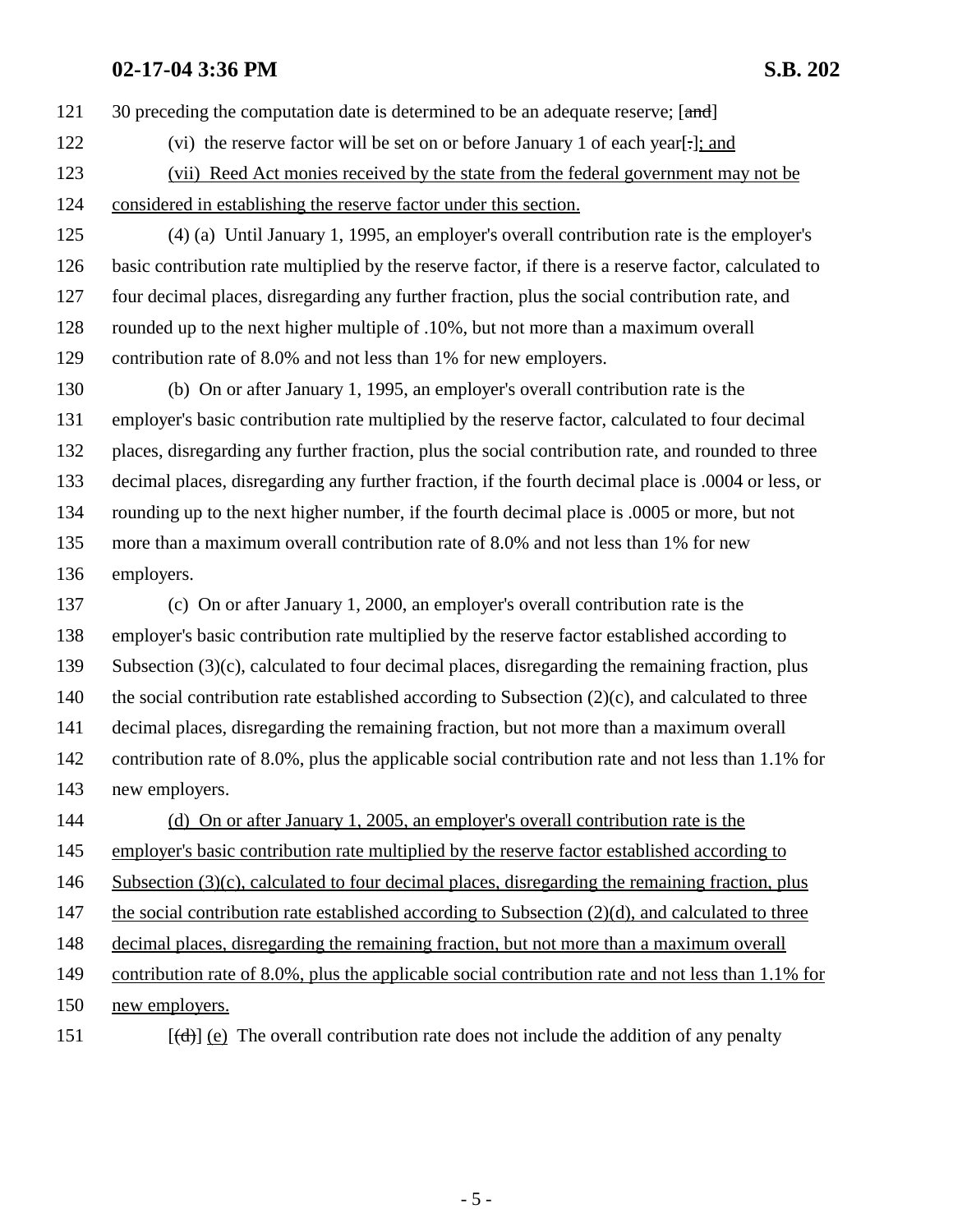121 30 preceding the computation date is determined to be an adequate reserve; [and]

- 122 (vi) the reserve factor will be set on or before January 1 of each year[.]; and
- 123 (vii) Reed Act monies received by the state from the federal government may not be
- 124 considered in establishing the reserve factor under this section.
- 125 (4) (a) Until January 1, 1995, an employer's overall contribution rate is the employer's 126 basic contribution rate multiplied by the reserve factor, if there is a reserve factor, calculated to 127 four decimal places, disregarding any further fraction, plus the social contribution rate, and 128 rounded up to the next higher multiple of .10%, but not more than a maximum overall 129 contribution rate of 8.0% and not less than 1% for new employers.
- 130 (b) On or after January 1, 1995, an employer's overall contribution rate is the 131 employer's basic contribution rate multiplied by the reserve factor, calculated to four decimal 132 places, disregarding any further fraction, plus the social contribution rate, and rounded to three 133 decimal places, disregarding any further fraction, if the fourth decimal place is .0004 or less, or 134 rounding up to the next higher number, if the fourth decimal place is .0005 or more, but not 135 more than a maximum overall contribution rate of 8.0% and not less than 1% for new 136 employers.
- 137 (c) On or after January 1, 2000, an employer's overall contribution rate is the 138 employer's basic contribution rate multiplied by the reserve factor established according to 139 Subsection (3)(c), calculated to four decimal places, disregarding the remaining fraction, plus 140 the social contribution rate established according to Subsection (2)(c), and calculated to three 141 decimal places, disregarding the remaining fraction, but not more than a maximum overall 142 contribution rate of 8.0%, plus the applicable social contribution rate and not less than 1.1% for 143 new employers. 144 (d) On or after January 1, 2005, an employer's overall contribution rate is the
- 145 employer's basic contribution rate multiplied by the reserve factor established according to
- 146 Subsection (3)(c), calculated to four decimal places, disregarding the remaining fraction, plus
- 147 the social contribution rate established according to Subsection (2)(d), and calculated to three
- 148 decimal places, disregarding the remaining fraction, but not more than a maximum overall
- 149 contribution rate of 8.0%, plus the applicable social contribution rate and not less than 1.1% for
- 150 new employers.
- 151  $[(\text{d})]$  (e) The overall contribution rate does not include the addition of any penalty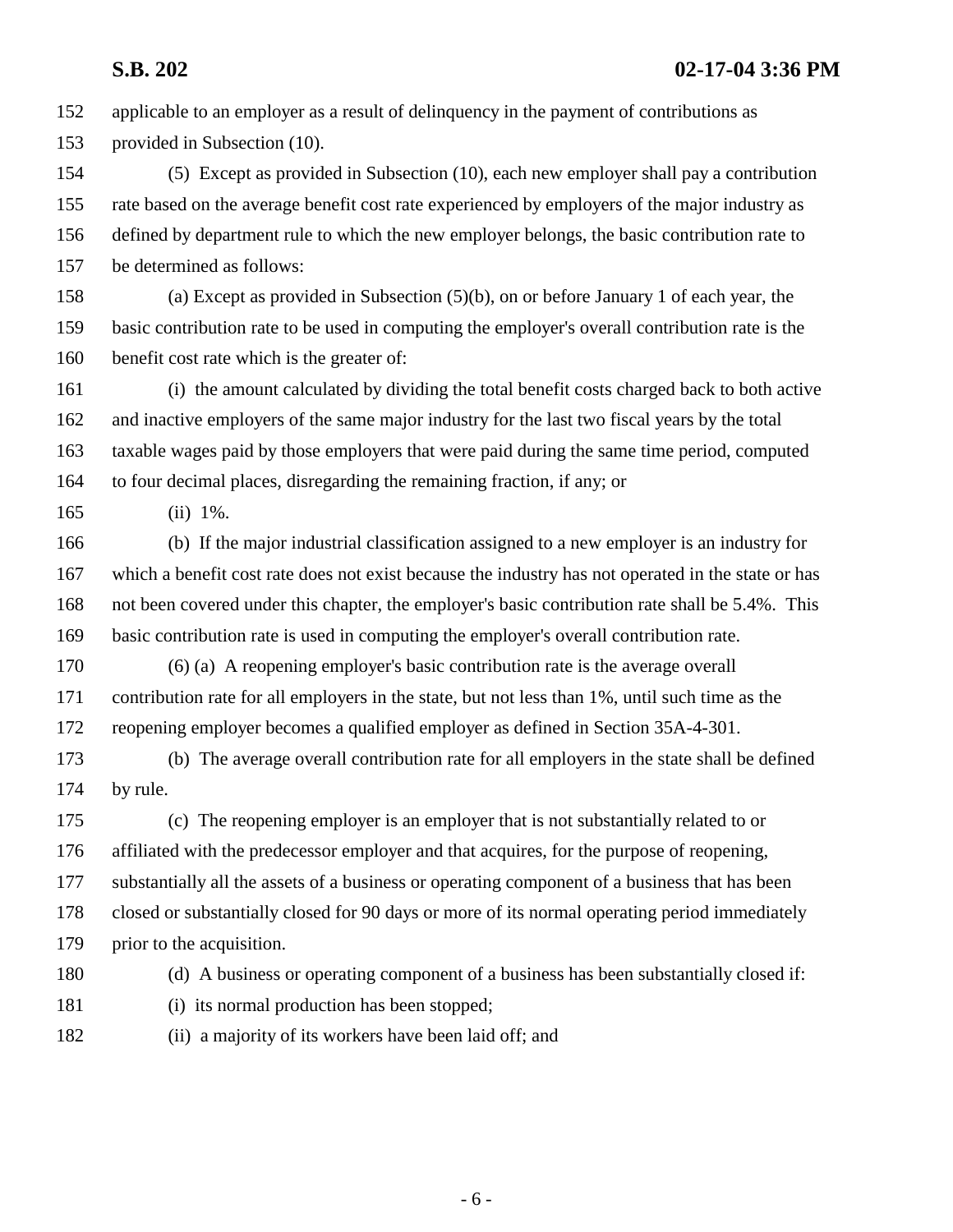152 applicable to an employer as a result of delinquency in the payment of contributions as 153 provided in Subsection (10).

154 (5) Except as provided in Subsection (10), each new employer shall pay a contribution 155 rate based on the average benefit cost rate experienced by employers of the major industry as 156 defined by department rule to which the new employer belongs, the basic contribution rate to 157 be determined as follows:

158 (a) Except as provided in Subsection (5)(b), on or before January 1 of each year, the 159 basic contribution rate to be used in computing the employer's overall contribution rate is the 160 benefit cost rate which is the greater of:

161 (i) the amount calculated by dividing the total benefit costs charged back to both active 162 and inactive employers of the same major industry for the last two fiscal years by the total 163 taxable wages paid by those employers that were paid during the same time period, computed 164 to four decimal places, disregarding the remaining fraction, if any; or

165 (ii) 1%.

166 (b) If the major industrial classification assigned to a new employer is an industry for 167 which a benefit cost rate does not exist because the industry has not operated in the state or has 168 not been covered under this chapter, the employer's basic contribution rate shall be 5.4%. This 169 basic contribution rate is used in computing the employer's overall contribution rate.

170 (6) (a) A reopening employer's basic contribution rate is the average overall 171 contribution rate for all employers in the state, but not less than 1%, until such time as the 172 reopening employer becomes a qualified employer as defined in Section 35A-4-301.

173 (b) The average overall contribution rate for all employers in the state shall be defined 174 by rule.

175 (c) The reopening employer is an employer that is not substantially related to or 176 affiliated with the predecessor employer and that acquires, for the purpose of reopening, 177 substantially all the assets of a business or operating component of a business that has been 178 closed or substantially closed for 90 days or more of its normal operating period immediately 179 prior to the acquisition.

180 (d) A business or operating component of a business has been substantially closed if:

- 181 (i) its normal production has been stopped;
- 182 (ii) a majority of its workers have been laid off; and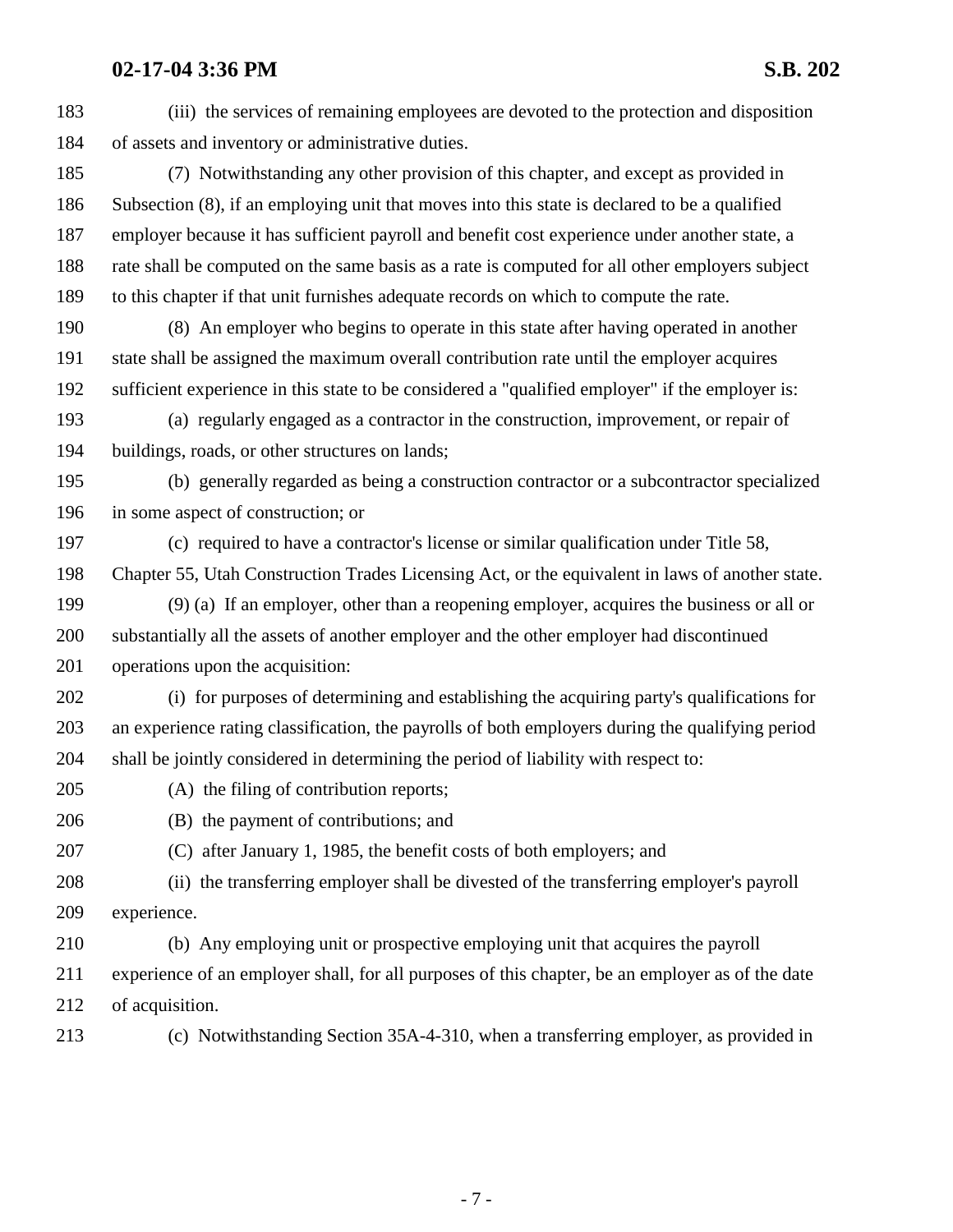183 (iii) the services of remaining employees are devoted to the protection and disposition 184 of assets and inventory or administrative duties. 185 (7) Notwithstanding any other provision of this chapter, and except as provided in 186 Subsection (8), if an employing unit that moves into this state is declared to be a qualified 187 employer because it has sufficient payroll and benefit cost experience under another state, a 188 rate shall be computed on the same basis as a rate is computed for all other employers subject 189 to this chapter if that unit furnishes adequate records on which to compute the rate. 190 (8) An employer who begins to operate in this state after having operated in another 191 state shall be assigned the maximum overall contribution rate until the employer acquires 192 sufficient experience in this state to be considered a "qualified employer" if the employer is: 193 (a) regularly engaged as a contractor in the construction, improvement, or repair of 194 buildings, roads, or other structures on lands; 195 (b) generally regarded as being a construction contractor or a subcontractor specialized 196 in some aspect of construction; or 197 (c) required to have a contractor's license or similar qualification under Title 58, 198 Chapter 55, Utah Construction Trades Licensing Act, or the equivalent in laws of another state. 199 (9) (a) If an employer, other than a reopening employer, acquires the business or all or 200 substantially all the assets of another employer and the other employer had discontinued 201 operations upon the acquisition: 202 (i) for purposes of determining and establishing the acquiring party's qualifications for 203 an experience rating classification, the payrolls of both employers during the qualifying period 204 shall be jointly considered in determining the period of liability with respect to: 205 (A) the filing of contribution reports; 206 (B) the payment of contributions; and 207 (C) after January 1, 1985, the benefit costs of both employers; and 208 (ii) the transferring employer shall be divested of the transferring employer's payroll 209 experience. 210 (b) Any employing unit or prospective employing unit that acquires the payroll 211 experience of an employer shall, for all purposes of this chapter, be an employer as of the date 212 of acquisition. 213 (c) Notwithstanding Section 35A-4-310, when a transferring employer, as provided in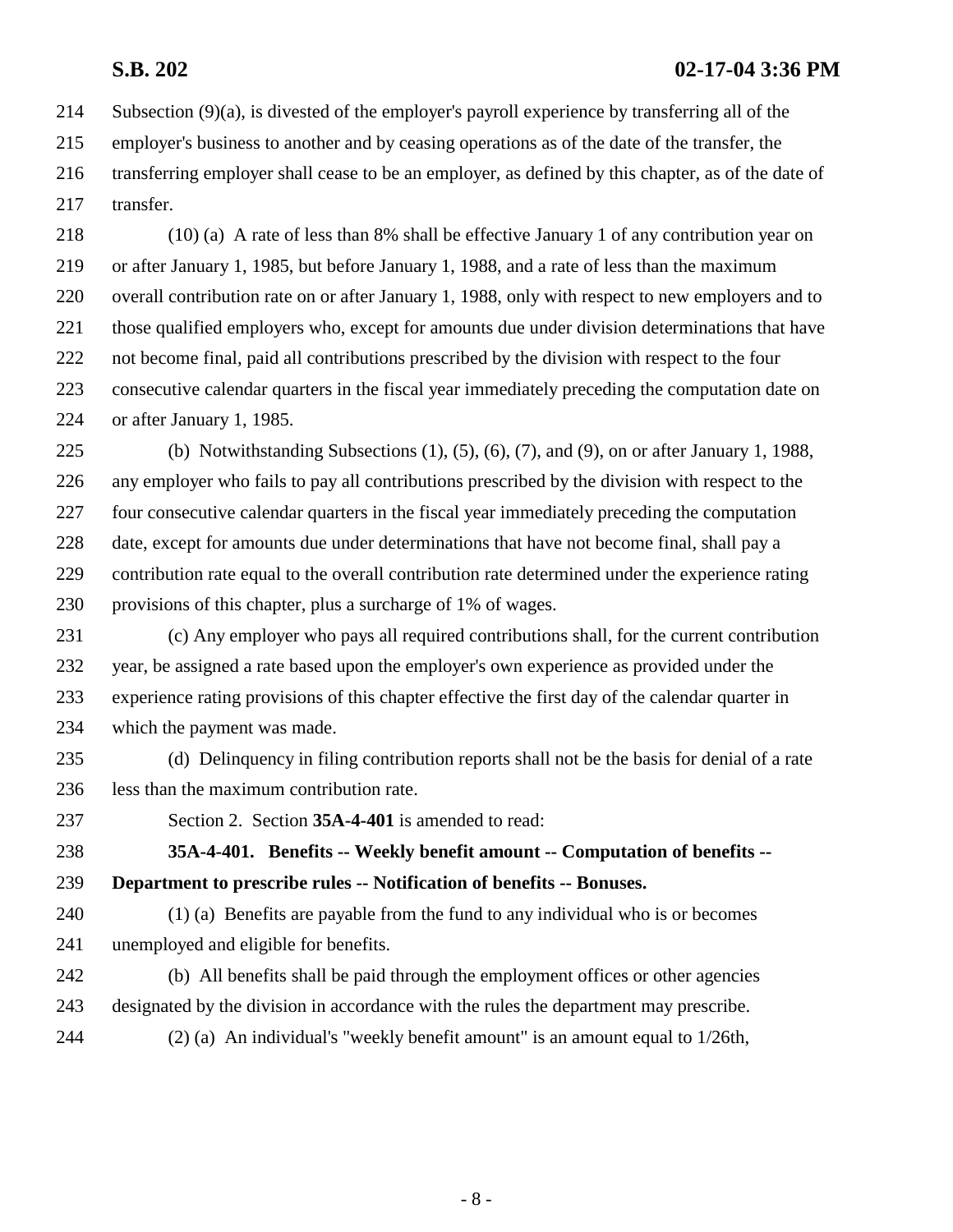214 Subsection (9)(a), is divested of the employer's payroll experience by transferring all of the 215 employer's business to another and by ceasing operations as of the date of the transfer, the 216 transferring employer shall cease to be an employer, as defined by this chapter, as of the date of 217 transfer.

218 (10) (a) A rate of less than 8% shall be effective January 1 of any contribution year on 219 or after January 1, 1985, but before January 1, 1988, and a rate of less than the maximum 220 overall contribution rate on or after January 1, 1988, only with respect to new employers and to 221 those qualified employers who, except for amounts due under division determinations that have 222 not become final, paid all contributions prescribed by the division with respect to the four 223 consecutive calendar quarters in the fiscal year immediately preceding the computation date on 224 or after January 1, 1985.

225 (b) Notwithstanding Subsections (1), (5), (6), (7), and (9), on or after January 1, 1988, 226 any employer who fails to pay all contributions prescribed by the division with respect to the 227 four consecutive calendar quarters in the fiscal year immediately preceding the computation 228 date, except for amounts due under determinations that have not become final, shall pay a 229 contribution rate equal to the overall contribution rate determined under the experience rating 230 provisions of this chapter, plus a surcharge of 1% of wages.

231 (c) Any employer who pays all required contributions shall, for the current contribution 232 year, be assigned a rate based upon the employer's own experience as provided under the 233 experience rating provisions of this chapter effective the first day of the calendar quarter in 234 which the payment was made.

- 235 (d) Delinquency in filing contribution reports shall not be the basis for denial of a rate 236 less than the maximum contribution rate.
- 

237 Section 2. Section **35A-4-401** is amended to read:

238 **35A-4-401. Benefits -- Weekly benefit amount -- Computation of benefits --** 239 **Department to prescribe rules -- Notification of benefits -- Bonuses.**

240 (1) (a) Benefits are payable from the fund to any individual who is or becomes 241 unemployed and eligible for benefits.

- 242 (b) All benefits shall be paid through the employment offices or other agencies 243 designated by the division in accordance with the rules the department may prescribe.
- 244 (2) (a) An individual's "weekly benefit amount" is an amount equal to 1/26th,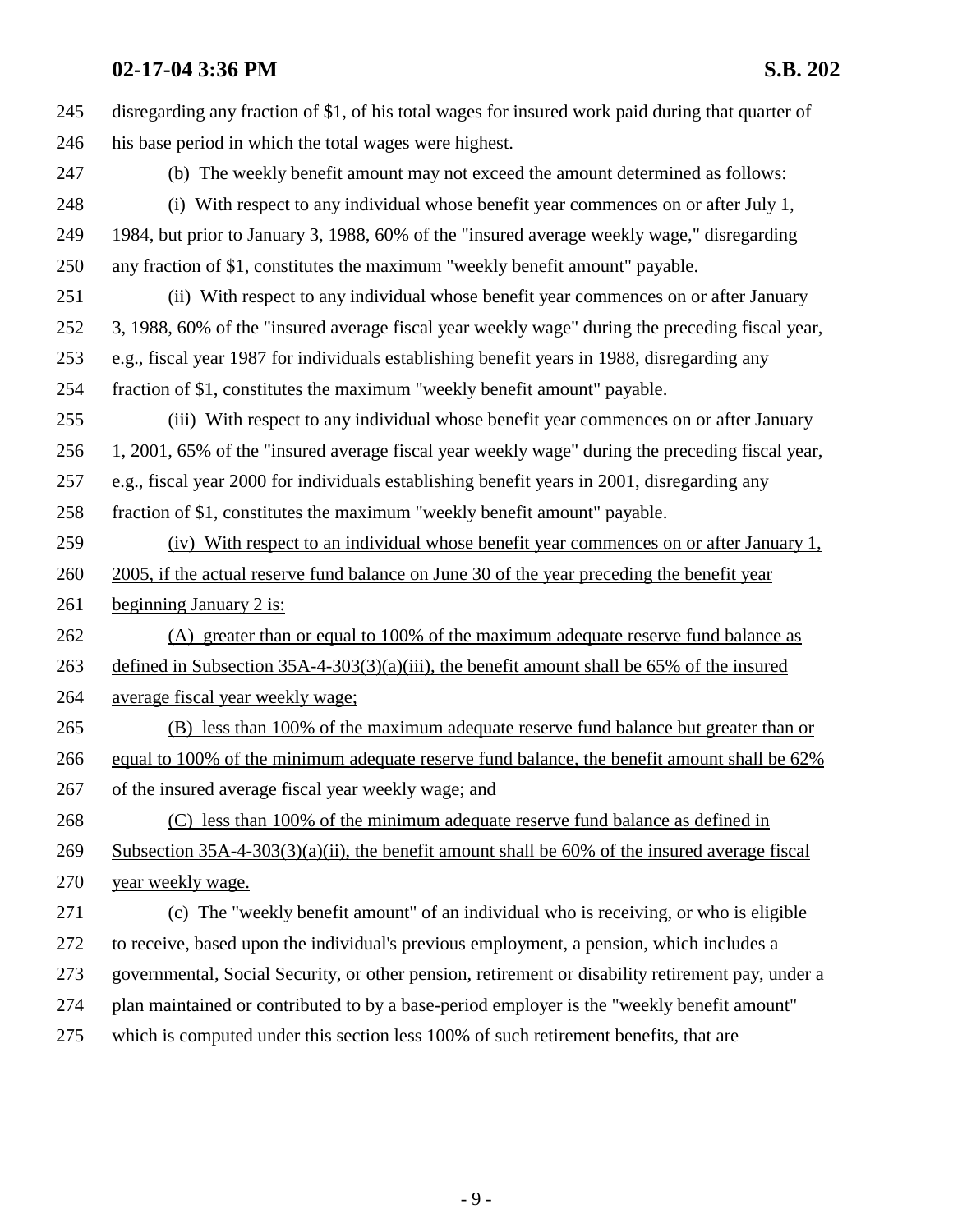| 245 | disregarding any fraction of \$1, of his total wages for insured work paid during that quarter of |  |
|-----|---------------------------------------------------------------------------------------------------|--|
| 246 | his base period in which the total wages were highest.                                            |  |
| 247 | (b) The weekly benefit amount may not exceed the amount determined as follows:                    |  |
| 248 | (i) With respect to any individual whose benefit year commences on or after July 1,               |  |
| 249 | 1984, but prior to January 3, 1988, 60% of the "insured average weekly wage," disregarding        |  |
| 250 | any fraction of \$1, constitutes the maximum "weekly benefit amount" payable.                     |  |
| 251 | (ii) With respect to any individual whose benefit year commences on or after January              |  |
| 252 | 3, 1988, 60% of the "insured average fiscal year weekly wage" during the preceding fiscal year,   |  |
| 253 | e.g., fiscal year 1987 for individuals establishing benefit years in 1988, disregarding any       |  |
| 254 | fraction of \$1, constitutes the maximum "weekly benefit amount" payable.                         |  |
| 255 | (iii) With respect to any individual whose benefit year commences on or after January             |  |
| 256 | 1, 2001, 65% of the "insured average fiscal year weekly wage" during the preceding fiscal year,   |  |
| 257 | e.g., fiscal year 2000 for individuals establishing benefit years in 2001, disregarding any       |  |
| 258 | fraction of \$1, constitutes the maximum "weekly benefit amount" payable.                         |  |
| 259 | (iv) With respect to an individual whose benefit year commences on or after January 1,            |  |
| 260 | 2005, if the actual reserve fund balance on June 30 of the year preceding the benefit year        |  |
| 261 | beginning January 2 is:                                                                           |  |
| 262 | (A) greater than or equal to 100% of the maximum adequate reserve fund balance as                 |  |
| 263 | defined in Subsection $35A-4-303(3)(a)(iii)$ , the benefit amount shall be 65% of the insured     |  |
| 264 | average fiscal year weekly wage;                                                                  |  |
| 265 | (B) less than 100% of the maximum adequate reserve fund balance but greater than or               |  |
| 266 | equal to 100% of the minimum adequate reserve fund balance, the benefit amount shall be 62%       |  |
| 267 | of the insured average fiscal year weekly wage; and                                               |  |
| 268 | (C) less than 100% of the minimum adequate reserve fund balance as defined in                     |  |
| 269 | Subsection $35A-4-303(3)(a)(ii)$ , the benefit amount shall be 60% of the insured average fiscal  |  |
| 270 | year weekly wage.                                                                                 |  |
| 271 | (c) The "weekly benefit amount" of an individual who is receiving, or who is eligible             |  |
| 272 | to receive, based upon the individual's previous employment, a pension, which includes a          |  |
| 273 | governmental, Social Security, or other pension, retirement or disability retirement pay, under a |  |
| 274 | plan maintained or contributed to by a base-period employer is the "weekly benefit amount"        |  |
| 275 | which is computed under this section less 100% of such retirement benefits, that are              |  |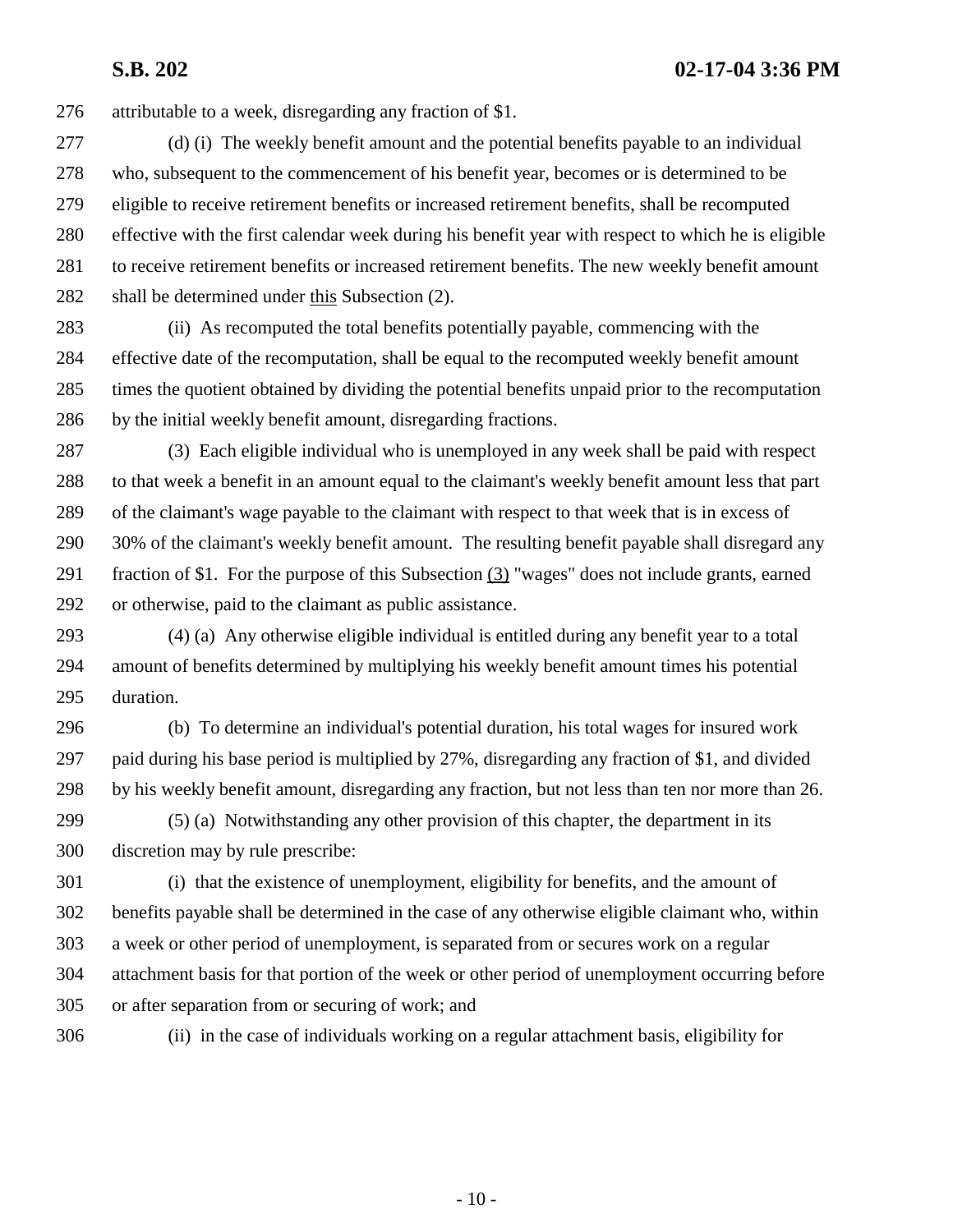**S.B. 202 02-17-04 3:36 PM**

276 attributable to a week, disregarding any fraction of \$1.

277 (d) (i) The weekly benefit amount and the potential benefits payable to an individual 278 who, subsequent to the commencement of his benefit year, becomes or is determined to be 279 eligible to receive retirement benefits or increased retirement benefits, shall be recomputed 280 effective with the first calendar week during his benefit year with respect to which he is eligible 281 to receive retirement benefits or increased retirement benefits. The new weekly benefit amount 282 shall be determined under this Subsection (2).

283 (ii) As recomputed the total benefits potentially payable, commencing with the 284 effective date of the recomputation, shall be equal to the recomputed weekly benefit amount 285 times the quotient obtained by dividing the potential benefits unpaid prior to the recomputation 286 by the initial weekly benefit amount, disregarding fractions.

287 (3) Each eligible individual who is unemployed in any week shall be paid with respect 288 to that week a benefit in an amount equal to the claimant's weekly benefit amount less that part 289 of the claimant's wage payable to the claimant with respect to that week that is in excess of 290 30% of the claimant's weekly benefit amount. The resulting benefit payable shall disregard any 291 fraction of \$1. For the purpose of this Subsection (3) "wages" does not include grants, earned 292 or otherwise, paid to the claimant as public assistance.

293 (4) (a) Any otherwise eligible individual is entitled during any benefit year to a total 294 amount of benefits determined by multiplying his weekly benefit amount times his potential 295 duration.

296 (b) To determine an individual's potential duration, his total wages for insured work 297 paid during his base period is multiplied by 27%, disregarding any fraction of \$1, and divided 298 by his weekly benefit amount, disregarding any fraction, but not less than ten nor more than 26. 299 (5) (a) Notwithstanding any other provision of this chapter, the department in its

300 discretion may by rule prescribe:

301 (i) that the existence of unemployment, eligibility for benefits, and the amount of 302 benefits payable shall be determined in the case of any otherwise eligible claimant who, within 303 a week or other period of unemployment, is separated from or secures work on a regular 304 attachment basis for that portion of the week or other period of unemployment occurring before 305 or after separation from or securing of work; and

306 (ii) in the case of individuals working on a regular attachment basis, eligibility for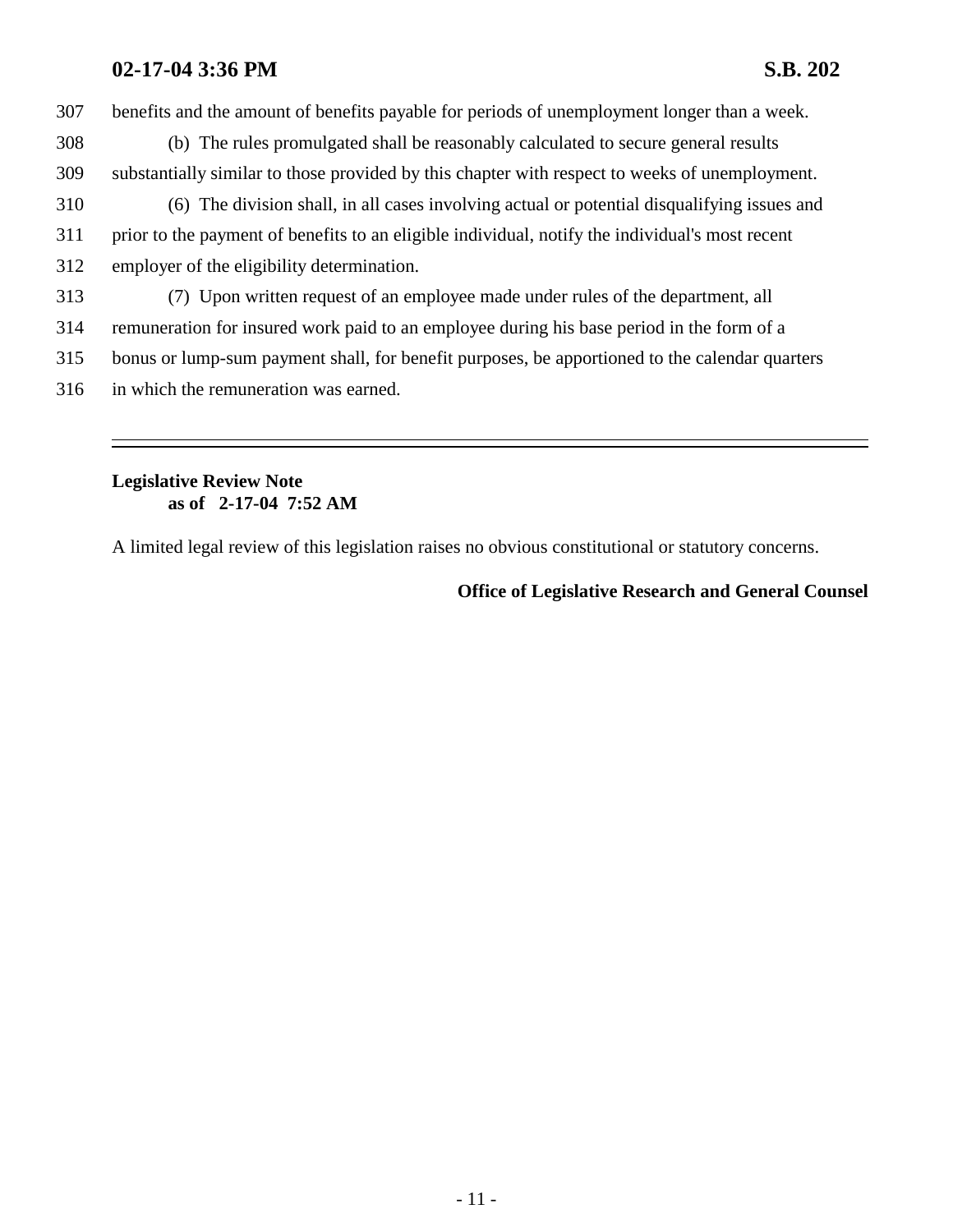307 benefits and the amount of benefits payable for periods of unemployment longer than a week.

- 308 (b) The rules promulgated shall be reasonably calculated to secure general results 309 substantially similar to those provided by this chapter with respect to weeks of unemployment.
- 310 (6) The division shall, in all cases involving actual or potential disqualifying issues and 311 prior to the payment of benefits to an eligible individual, notify the individual's most recent 312 employer of the eligibility determination.
- 313 (7) Upon written request of an employee made under rules of the department, all
- 314 remuneration for insured work paid to an employee during his base period in the form of a
- 315 bonus or lump-sum payment shall, for benefit purposes, be apportioned to the calendar quarters
- 316 in which the remuneration was earned.

### **Legislative Review Note as of 2-17-04 7:52 AM**

A limited legal review of this legislation raises no obvious constitutional or statutory concerns.

# **Office of Legislative Research and General Counsel**